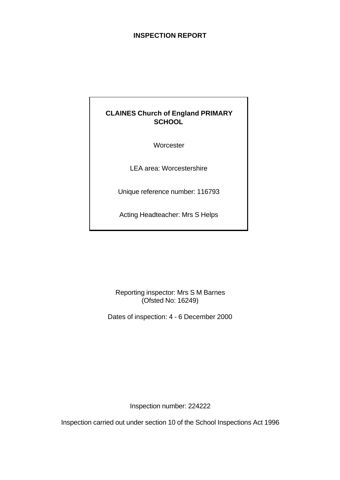# **INSPECTION REPORT**

# **CLAINES Church of England PRIMARY SCHOOL**

**Worcester** 

LEA area: Worcestershire

Unique reference number: 116793

Acting Headteacher: Mrs S Helps

Reporting inspector: Mrs S M Barnes (Ofsted No: 16249)

Dates of inspection: 4 - 6 December 2000

Inspection number: 224222

Inspection carried out under section 10 of the School Inspections Act 1996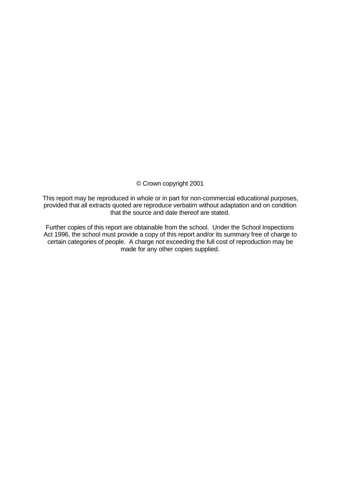© Crown copyright 2001

This report may be reproduced in whole or in part for non-commercial educational purposes, provided that all extracts quoted are reproduce verbatim without adaptation and on condition that the source and date thereof are stated.

Further copies of this report are obtainable from the school. Under the School Inspections Act 1996, the school must provide a copy of this report and/or its summary free of charge to certain categories of people. A charge not exceeding the full cost of reproduction may be made for any other copies supplied.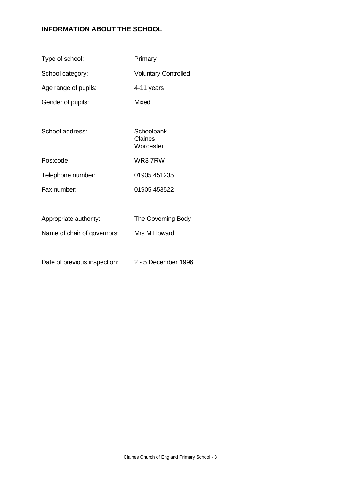# **INFORMATION ABOUT THE SCHOOL**

| Type of school:        | Primary                            |
|------------------------|------------------------------------|
| School category:       | <b>Voluntary Controlled</b>        |
| Age range of pupils:   | 4-11 years                         |
| Gender of pupils:      | Mixed                              |
|                        |                                    |
| School address:        | Schoolbank<br>Claines<br>Worcester |
| Postcode:              | WR37RW                             |
| Telephone number:      | 01905 451235                       |
| Fax number:            | 01905 453522                       |
|                        |                                    |
| Appropriate authority: | The Governing Body                 |

Name of chair of governors: Mrs M Howard

Date of previous inspection: 2 - 5 December 1996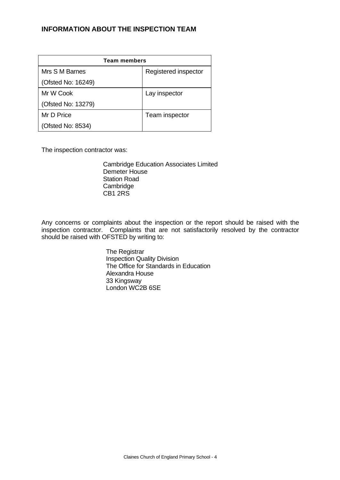## **INFORMATION ABOUT THE INSPECTION TEAM**

| <b>Team members</b> |                      |  |  |  |
|---------------------|----------------------|--|--|--|
| Mrs S M Barnes      | Registered inspector |  |  |  |
| (Ofsted No: 16249)  |                      |  |  |  |
| Mr W Cook           | Lay inspector        |  |  |  |
| (Ofsted No: 13279)  |                      |  |  |  |
| Mr D Price          | Team inspector       |  |  |  |
| (Ofsted No: 8534)   |                      |  |  |  |

The inspection contractor was:

Cambridge Education Associates Limited Demeter House Station Road **Cambridge** CB1 2RS

Any concerns or complaints about the inspection or the report should be raised with the inspection contractor. Complaints that are not satisfactorily resolved by the contractor should be raised with OFSTED by writing to:

> The Registrar Inspection Quality Division The Office for Standards in Education Alexandra House 33 Kingsway London WC2B 6SE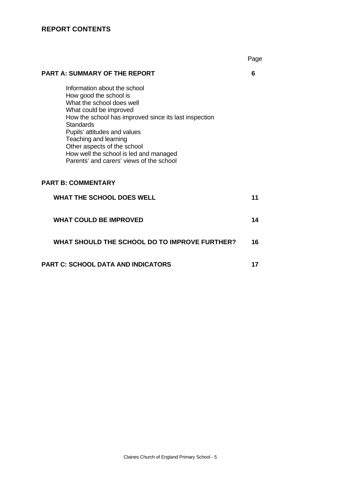# **REPORT CONTENTS**

Page

## **PART A: SUMMARY OF THE REPORT 6**

Information about the school How good the school is What the school does well What could be improved How the school has improved since its last inspection **Standards** Pupils' attitudes and values Teaching and learning Other aspects of the school How well the school is led and managed Parents' and carers' views of the school

## **PART B: COMMENTARY**

| <b>WHAT THE SCHOOL DOES WELL</b>              |    |
|-----------------------------------------------|----|
| <b>WHAT COULD BE IMPROVED</b>                 | 14 |
| WHAT SHOULD THE SCHOOL DO TO IMPROVE FURTHER? | 16 |
| <b>PART C: SCHOOL DATA AND INDICATORS</b>     |    |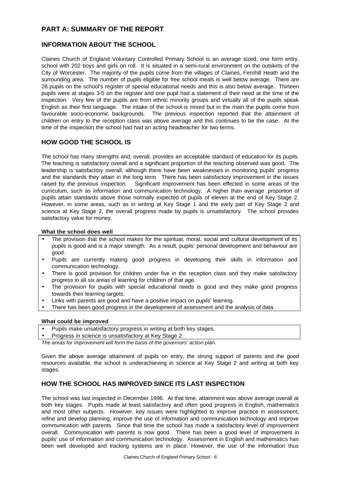# **PART A: SUMMARY OF THE REPORT**

#### **INFORMATION ABOUT THE SCHOOL**

Claines Church of England Voluntary Controlled Primary School is an average sized, one form entry, school with 202 boys and girls on roll. It is situated in a semi-rural environment on the outskirts of the City of Worcester. The majority of the pupils come from the villages of Claines, Fernhill Heath and the surrounding area. The number of pupils eligible for free school meals is well below average. There are 28 pupils on the school's register of special educational needs and this is also below average. Thirteen pupils were at stages 3-5 on the register and one pupil had a statement of their need at the time of the inspection. Very few of the pupils are from ethnic minority groups and virtually all of the pupils speak English as their first language. The intake of the school is mixed but in the main the pupils come from favourable socio-economic backgrounds. The previous inspection reported that the attainment of children on entry to the reception class was above average and this continues to be the case. At the time of the inspection the school had had an acting headteacher for two terms.

#### **HOW GOOD THE SCHOOL IS**

The school has many strengths and, overall, provides an acceptable standard of education for its pupils. The teaching is satisfactory overall and a significant proportion of the teaching observed was good. The leadership is satisfactory overall, although there have been weaknesses in monitoring pupils' progress and the standards they attain in the long term. There has been satisfactory improvement in the issues raised by the previous inspection. Significant improvement has been effected in some areas of the curriculum, such as information and communication technology. A higher than average proportion of pupils attain standards above those normally expected of pupils of eleven at the end of Key Stage 2. However, in some areas, such as in writing at Key Stage 1 and the early part of Key Stage 2 and science at Key Stage 2, the overall progress made by pupils is unsatisfactory. The school provides satisfactory value for money.

#### **What the school does well**

- The provision that the school makes for the spiritual, moral, social and cultural development of its pupils is good and is a major strength. As a result, pupils' personal development and behaviour are good.
- Pupils are currently making good progress in developing their skills in information and communication technology.
- There is good provision for children under five in the reception class and they make satisfactory progress in all six areas of learning for children of that age.
- The provision for pupils with special educational needs is good and they make good progress towards their learning targets.
- Links with parents are good and have a positive impact on pupils' learning.
- There has been good progress in the development of assessment and the analysis of data.

#### **What could be improved**

- Pupils make unsatisfactory progress in writing at both key stages.
- Progress in science is unsatisfactory at Key Stage 2.

*The areas for improvement will form the basis of the governors' action plan.*

Given the above average attainment of pupils on entry, the strong support of parents and the good resources available, the school is underachieving in science at Key Stage 2 and writing at both key stages.

## **HOW THE SCHOOL HAS IMPROVED SINCE ITS LAST INSPECTION**

The school was last inspected in December 1996. At that time, attainment was above average overall at both key stages. Pupils made at least satisfactory and often good progress in English, mathematics and most other subjects. However, key issues were highlighted to improve practice in assessment, refine and develop planning, improve the use of information and communication technology and improve communication with parents. Since that time the school has made a satisfactory level of improvement overall. Communication with parents is now good. There has been a good level of improvement in pupils' use of information and communication technology. Assessment in English and mathematics has been well developed and tracking systems are in place. However, the use of the information thus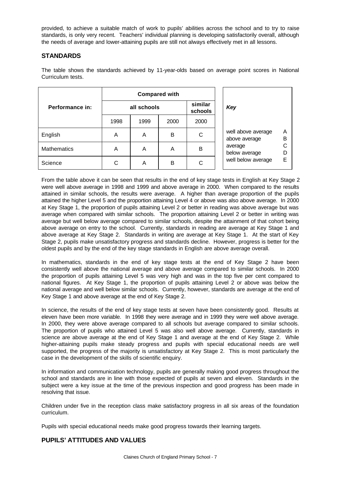provided, to achieve a suitable match of work to pupils' abilities across the school and to try to raise standards, is only very recent. Teachers' individual planning is developing satisfactorily overall, although the needs of average and lower-attaining pupils are still not always effectively met in all lessons.

## **STANDARDS**

The table shows the standards achieved by 11-year-olds based on average point scores in National Curriculum tests.

|                    |      |             | <b>Compared with</b> |      |                                     |        |
|--------------------|------|-------------|----------------------|------|-------------------------------------|--------|
| Performance in:    |      | all schools | similar<br>schools   | Key  |                                     |        |
|                    | 1998 | 1999        | 2000                 | 2000 |                                     |        |
| English            | A    | A           | B                    | C    | well above average<br>above average | A<br>B |
| <b>Mathematics</b> | A    | A           | A                    | в    | average<br>below average            | D      |
| Science            | C    | A           | B                    | С    | well below average                  | Ε      |

From the table above it can be seen that results in the end of key stage tests in English at Key Stage 2 were well above average in 1998 and 1999 and above average in 2000. When compared to the results attained in similar schools, the results were average. A higher than average proportion of the pupils attained the higher Level 5 and the proportion attaining Level 4 or above was also above average. In 2000 at Key Stage 1, the proportion of pupils attaining Level 2 or better in reading was above average but was average when compared with similar schools. The proportion attaining Level 2 or better in writing was average but well below average compared to similar schools, despite the attainment of that cohort being above average on entry to the school. Currently, standards in reading are average at Key Stage 1 and above average at Key Stage 2. Standards in writing are average at Key Stage 1. At the start of Key Stage 2, pupils make unsatisfactory progress and standards decline. However, progress is better for the oldest pupils and by the end of the key stage standards in English are above average overall.

In mathematics, standards in the end of key stage tests at the end of Key Stage 2 have been consistently well above the national average and above average compared to similar schools. In 2000 the proportion of pupils attaining Level 5 was very high and was in the top five per cent compared to national figures. At Key Stage 1, the proportion of pupils attaining Level 2 or above was below the national average and well below similar schools. Currently, however, standards are average at the end of Key Stage 1 and above average at the end of Key Stage 2.

In science, the results of the end of key stage tests at seven have been consistently good. Results at eleven have been more variable. In 1998 they were average and in 1999 they were well above average. In 2000, they were above average compared to all schools but average compared to similar schools. The proportion of pupils who attained Level 5 was also well above average. Currently, standards in science are above average at the end of Key Stage 1 and average at the end of Key Stage 2. While higher-attaining pupils make steady progress and pupils with special educational needs are well supported, the progress of the majority is unsatisfactory at Key Stage 2. This is most particularly the case in the development of the skills of scientific enquiry.

In information and communication technology, pupils are generally making good progress throughout the school and standards are in line with those expected of pupils at seven and eleven. Standards in the subject were a key issue at the time of the previous inspection and good progress has been made in resolving that issue.

Children under five in the reception class make satisfactory progress in all six areas of the foundation curriculum.

Pupils with special educational needs make good progress towards their learning targets.

## **PUPILS' ATTITUDES AND VALUES**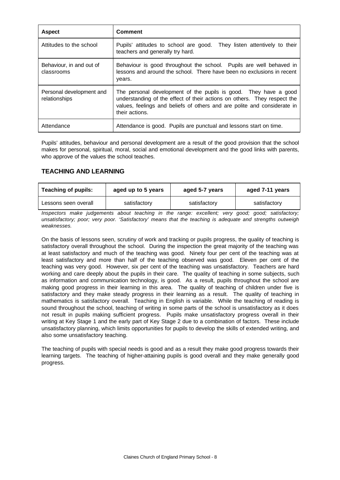| <b>Aspect</b>                             | <b>Comment</b>                                                                                                                                                                                                                             |
|-------------------------------------------|--------------------------------------------------------------------------------------------------------------------------------------------------------------------------------------------------------------------------------------------|
| Attitudes to the school                   | Pupils' attitudes to school are good. They listen attentively to their<br>teachers and generally try hard.                                                                                                                                 |
| Behaviour, in and out of<br>classrooms    | Behaviour is good throughout the school. Pupils are well behaved in<br>lessons and around the school. There have been no exclusions in recent<br>years.                                                                                    |
| Personal development and<br>relationships | The personal development of the pupils is good. They have a good<br>understanding of the effect of their actions on others. They respect the<br>values, feelings and beliefs of others and are polite and considerate in<br>their actions. |
| Attendance                                | Attendance is good. Pupils are punctual and lessons start on time.                                                                                                                                                                         |

Pupils' attitudes, behaviour and personal development are a result of the good provision that the school makes for personal, spiritual, moral, social and emotional development and the good links with parents, who approve of the values the school teaches.

## **TEACHING AND LEARNING**

| <b>Teaching of pupils:</b> | aged up to 5 years |              | aged 7-11 years |  |
|----------------------------|--------------------|--------------|-----------------|--|
| Lessons seen overall       | satisfactory       | satisfactory | satisfactory    |  |

*Inspectors make judgements about teaching in the range: excellent; very good; good; satisfactory; unsatisfactory; poor; very poor. 'Satisfactory' means that the teaching is adequate and strengths outweigh weaknesses.*

On the basis of lessons seen, scrutiny of work and tracking or pupils progress, the quality of teaching is satisfactory overall throughout the school. During the inspection the great majority of the teaching was at least satisfactory and much of the teaching was good. Ninety four per cent of the teaching was at least satisfactory and more than half of the teaching observed was good. Eleven per cent of the teaching was very good. However, six per cent of the teaching was unsatisfactory. Teachers are hard working and care deeply about the pupils in their care. The quality of teaching in some subjects, such as information and communication technology, is good. As a result, pupils throughout the school are making good progress in their learning in this area. The quality of teaching of children under five is satisfactory and they make steady progress in their learning as a result. The quality of teaching in mathematics is satisfactory overall. Teaching in English is variable. While the teaching of reading is sound throughout the school, teaching of writing in some parts of the school is unsatisfactory as it does not result in pupils making sufficient progress. Pupils make unsatisfactory progress overall in their writing at Key Stage 1 and the early part of Key Stage 2 due to a combination of factors. These include unsatisfactory planning, which limits opportunities for pupils to develop the skills of extended writing, and also some unsatisfactory teaching.

The teaching of pupils with special needs is good and as a result they make good progress towards their learning targets. The teaching of higher-attaining pupils is good overall and they make generally good progress.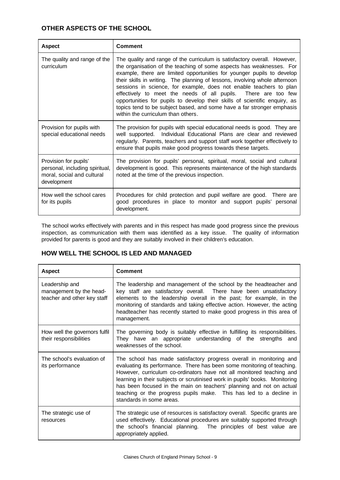## **OTHER ASPECTS OF THE SCHOOL**

| <b>Aspect</b>                                                                                        | Comment                                                                                                                                                                                                                                                                                                                                                                                                                                                                                                                                                                                                                                          |
|------------------------------------------------------------------------------------------------------|--------------------------------------------------------------------------------------------------------------------------------------------------------------------------------------------------------------------------------------------------------------------------------------------------------------------------------------------------------------------------------------------------------------------------------------------------------------------------------------------------------------------------------------------------------------------------------------------------------------------------------------------------|
| The quality and range of the<br>curriculum                                                           | The quality and range of the curriculum is satisfactory overall. However,<br>the organisation of the teaching of some aspects has weaknesses. For<br>example, there are limited opportunities for younger pupils to develop<br>their skills in writing. The planning of lessons, involving whole afternoon<br>sessions in science, for example, does not enable teachers to plan<br>effectively to meet the needs of all pupils. There are too few<br>opportunities for pupils to develop their skills of scientific enquiry, as<br>topics tend to be subject based, and some have a far stronger emphasis<br>within the curriculum than others. |
| Provision for pupils with<br>special educational needs                                               | The provision for pupils with special educational needs is good. They are<br>well supported. Individual Educational Plans are clear and reviewed<br>regularly. Parents, teachers and support staff work together effectively to<br>ensure that pupils make good progress towards these targets.                                                                                                                                                                                                                                                                                                                                                  |
| Provision for pupils'<br>personal, including spiritual,<br>moral, social and cultural<br>development | The provision for pupils' personal, spiritual, moral, social and cultural<br>development is good. This represents maintenance of the high standards<br>noted at the time of the previous inspection.                                                                                                                                                                                                                                                                                                                                                                                                                                             |
| How well the school cares<br>for its pupils                                                          | Procedures for child protection and pupil welfare are good. There are<br>good procedures in place to monitor and support pupils' personal<br>development.                                                                                                                                                                                                                                                                                                                                                                                                                                                                                        |

The school works effectively with parents and in this respect has made good progress since the previous inspection, as communication with them was identified as a key issue. The quality of information provided for parents is good and they are suitably involved in their children's education.

## **HOW WELL THE SCHOOL IS LED AND MANAGED**

| <b>Aspect</b>                                                            | <b>Comment</b>                                                                                                                                                                                                                                                                                                                                                                                                                                                                   |
|--------------------------------------------------------------------------|----------------------------------------------------------------------------------------------------------------------------------------------------------------------------------------------------------------------------------------------------------------------------------------------------------------------------------------------------------------------------------------------------------------------------------------------------------------------------------|
| Leadership and<br>management by the head-<br>teacher and other key staff | The leadership and management of the school by the headteacher and<br>key staff are satisfactory overall. There have been unsatisfactory<br>elements to the leadership overall in the past; for example, in the<br>monitoring of standards and taking effective action. However, the acting<br>headteacher has recently started to make good progress in this area of<br>management.                                                                                             |
| How well the governors fulfil<br>their responsibilities                  | The governing body is suitably effective in fulfilling its responsibilities.<br>They have an appropriate understanding of the strengths and<br>weaknesses of the school.                                                                                                                                                                                                                                                                                                         |
| The school's evaluation of<br>its performance                            | The school has made satisfactory progress overall in monitoring and<br>evaluating its performance. There has been some monitoring of teaching.<br>However, curriculum co-ordinators have not all monitored teaching and<br>learning in their subjects or scrutinised work in pupils' books. Monitoring<br>has been focused in the main on teachers' planning and not on actual<br>teaching or the progress pupils make. This has led to a decline in<br>standards in some areas. |
| The strategic use of<br>resources                                        | The strategic use of resources is satisfactory overall. Specific grants are<br>used effectively. Educational procedures are suitably supported through<br>the school's financial planning. The principles of best value are<br>appropriately applied.                                                                                                                                                                                                                            |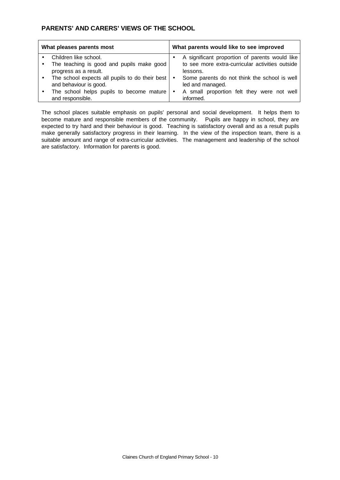## **PARENTS' AND CARERS' VIEWS OF THE SCHOOL**

| What pleases parents most                              | What parents would like to see improved         |
|--------------------------------------------------------|-------------------------------------------------|
| Children like school.                                  | A significant proportion of parents would like  |
| The teaching is good and pupils make good              | to see more extra-curricular activities outside |
| progress as a result.                                  | lessons.                                        |
| The school expects all pupils to do their best $\cdot$ | Some parents do not think the school is well    |
| and behaviour is good.                                 | led and managed.                                |
| The school helps pupils to become mature $\cdot$       | A small proportion felt they were not well      |
| and responsible.                                       | informed.                                       |

The school places suitable emphasis on pupils' personal and social development. It helps them to become mature and responsible members of the community. Pupils are happy in school, they are expected to try hard and their behaviour is good. Teaching is satisfactory overall and as a result pupils make generally satisfactory progress in their learning. In the view of the inspection team, there is a suitable amount and range of extra-curricular activities. The management and leadership of the school are satisfactory. Information for parents is good.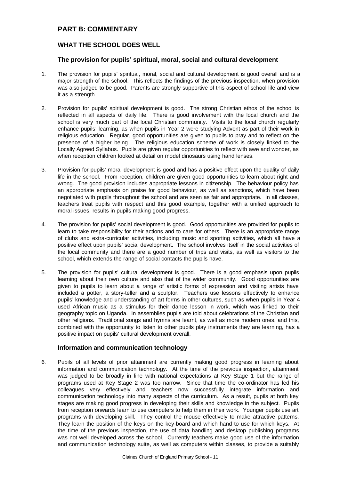## **PART B: COMMENTARY**

#### **WHAT THE SCHOOL DOES WELL**

#### **The provision for pupils' spiritual, moral, social and cultural development**

- 1. The provision for pupils' spiritual, moral, social and cultural development is good overall and is a major strength of the school. This reflects the findings of the previous inspection, when provision was also judged to be good. Parents are strongly supportive of this aspect of school life and view it as a strength.
- 2. Provision for pupils' spiritual development is good. The strong Christian ethos of the school is reflected in all aspects of daily life. There is good involvement with the local church and the school is very much part of the local Christian community. Visits to the local church regularly enhance pupils' learning, as when pupils in Year 2 were studying Advent as part of their work in religious education. Regular, good opportunities are given to pupils to pray and to reflect on the presence of a higher being. The religious education scheme of work is closely linked to the Locally Agreed Syllabus. Pupils are given regular opportunities to reflect with awe and wonder, as when reception children looked at detail on model dinosaurs using hand lenses.
- 3. Provision for pupils' moral development is good and has a positive effect upon the quality of daily life in the school. From reception, children are given good opportunities to learn about right and wrong. The good provision includes appropriate lessons in citizenship. The behaviour policy has an appropriate emphasis on praise for good behaviour, as well as sanctions, which have been negotiated with pupils throughout the school and are seen as fair and appropriate. In all classes, teachers treat pupils with respect and this good example, together with a unified approach to moral issues, results in pupils making good progress.
- 4. The provision for pupils' social development is good. Good opportunities are provided for pupils to learn to take responsibility for their actions and to care for others. There is an appropriate range of clubs and extra-curricular activities, including music and sporting activities, which all have a positive effect upon pupils' social development. The school involves itself in the social activities of the local community and there are a good number of trips and visits, as well as visitors to the school, which extends the range of social contacts the pupils have.
- 5. The provision for pupils' cultural development is good. There is a good emphasis upon pupils learning about their own culture and also that of the wider community. Good opportunities are given to pupils to learn about a range of artistic forms of expression and visiting artists have included a potter, a story-teller and a sculptor. Teachers use lessons effectively to enhance pupils' knowledge and understanding of art forms in other cultures, such as when pupils in Year 4 used African music as a stimulus for their dance lesson in work, which was linked to their geography topic on Uganda. In assemblies pupils are told about celebrations of the Christian and other religions. Traditional songs and hymns are learnt, as well as more modern ones, and this, combined with the opportunity to listen to other pupils play instruments they are learning, has a positive impact on pupils' cultural development overall.

#### **Information and communication technology**

6. Pupils of all levels of prior attainment are currently making good progress in learning about information and communication technology. At the time of the previous inspection, attainment was judged to be broadly in line with national expectations at Key Stage 1 but the range of programs used at Key Stage 2 was too narrow. Since that time the co-ordinator has led his colleagues very effectively and teachers now successfully integrate information and communication technology into many aspects of the curriculum. As a result, pupils at both key stages are making good progress in developing their skills and knowledge in the subject. Pupils from reception onwards learn to use computers to help them in their work. Younger pupils use art programs with developing skill. They control the mouse effectively to make attractive patterns. They learn the position of the keys on the key-board and which hand to use for which keys. At the time of the previous inspection, the use of data handling and desktop publishing programs was not well developed across the school. Currently teachers make good use of the information and communication technology suite, as well as computers within classes, to provide a suitably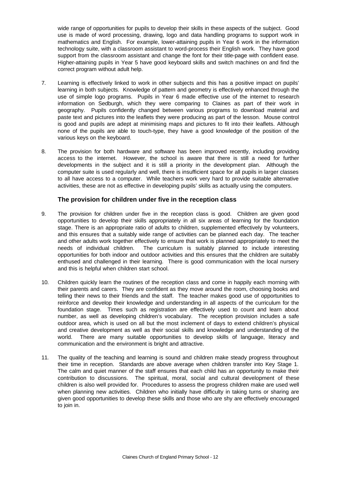wide range of opportunities for pupils to develop their skills in these aspects of the subject. Good use is made of word processing, drawing, logo and data handling programs to support work in mathematics and English. For example, lower-attaining pupils in Year 6 work in the information technology suite, with a classroom assistant to word-process their English work. They have good support from the classroom assistant and change the font for their title-page with confident ease. Higher-attaining pupils in Year 5 have good keyboard skills and switch machines on and find the correct program without adult help.

- 7. Learning is effectively linked to work in other subjects and this has a positive impact on pupils' learning in both subjects. Knowledge of pattern and geometry is effectively enhanced through the use of simple logo programs. Pupils in Year 6 made effective use of the internet to research information on Sedburgh, which they were comparing to Claines as part of their work in geography. Pupils confidently changed between various programs to download material and paste text and pictures into the leaflets they were producing as part of the lesson. Mouse control is good and pupils are adept at minimising maps and pictures to fit into their leaflets. Although none of the pupils are able to touch-type, they have a good knowledge of the position of the various keys on the keyboard.
- 8. The provision for both hardware and software has been improved recently, including providing access to the internet. However, the school is aware that there is still a need for further developments in the subject and it is still a priority in the development plan. Although the computer suite is used regularly and well, there is insufficient space for all pupils in larger classes to all have access to a computer. While teachers work very hard to provide suitable alternative activities, these are not as effective in developing pupils' skills as actually using the computers.

#### **The provision for children under five in the reception class**

- 9. The provision for children under five in the reception class is good. Children are given good opportunities to develop their skills appropriately in all six areas of learning for the foundation stage. There is an appropriate ratio of adults to children, supplemented effectively by volunteers, and this ensures that a suitably wide range of activities can be planned each day. The teacher and other adults work together effectively to ensure that work is planned appropriately to meet the needs of individual children. The curriculum is suitably planned to include interesting opportunities for both indoor and outdoor activities and this ensures that the children are suitably enthused and challenged in their learning. There is good communication with the local nursery and this is helpful when children start school.
- 10. Children quickly learn the routines of the reception class and come in happily each morning with their parents and carers. They are confident as they move around the room, choosing books and telling their news to their friends and the staff. The teacher makes good use of opportunities to reinforce and develop their knowledge and understanding in all aspects of the curriculum for the foundation stage. Times such as registration are effectively used to count and learn about number, as well as developing children's vocabulary. The reception provision includes a safe outdoor area, which is used on all but the most inclement of days to extend children's physical and creative development as well as their social skills and knowledge and understanding of the world. There are many suitable opportunities to develop skills of language, literacy and communication and the environment is bright and attractive.
- 11. The quality of the teaching and learning is sound and children make steady progress throughout their time in reception. Standards are above average when children transfer into Key Stage 1. The calm and quiet manner of the staff ensures that each child has an opportunity to make their contribution to discussions. The spiritual, moral, social and cultural development of these children is also well provided for. Procedures to assess the progress children make are used well when planning new activities. Children who initially have difficulty in taking turns or sharing are given good opportunities to develop these skills and those who are shy are effectively encouraged to join in.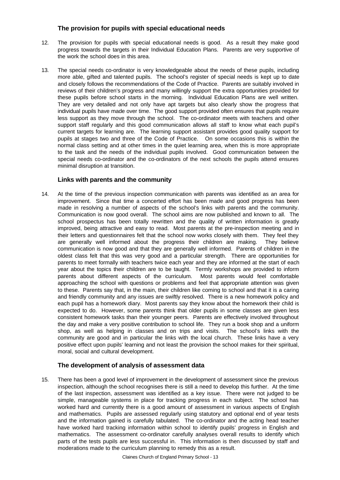#### **The provision for pupils with special educational needs**

- 12. The provision for pupils with special educational needs is good. As a result they make good progress towards the targets in their Individual Education Plans. Parents are very supportive of the work the school does in this area.
- 13. The special needs co-ordinator is very knowledgeable about the needs of these pupils, including more able, gifted and talented pupils. The school's register of special needs is kept up to date and closely follows the recommendations of the Code of Practice. Parents are suitably involved in reviews of their children's progress and many willingly support the extra opportunities provided for these pupils before school starts in the morning. Individual Education Plans are well written. They are very detailed and not only have apt targets but also clearly show the progress that individual pupils have made over time. The good support provided often ensures that pupils require less support as they move through the school. The co-ordinator meets with teachers and other support staff regularly and this good communication allows all staff to know what each pupil's current targets for learning are. The learning support assistant provides good quality support for pupils at stages two and three of the Code of Practice. On some occasions this is within the normal class setting and at other times in the quiet learning area, when this is more appropriate to the task and the needs of the individual pupils involved. Good communication between the special needs co-ordinator and the co-ordinators of the next schools the pupils attend ensures minimal disruption at transition.

#### **Links with parents and the community**

14. At the time of the previous inspection communication with parents was identified as an area for improvement. Since that time a concerted effort has been made and good progress has been made in resolving a number of aspects of the school's links with parents and the community. Communication is now good overall. The school aims are now published and known to all. The school prospectus has been totally rewritten and the quality of written information is greatly improved, being attractive and easy to read. Most parents at the pre-inspection meeting and in their letters and questionnaires felt that the school now works closely with them. They feel they are generally well informed about the progress their children are making. They believe communication is now good and that they are generally well informed. Parents of children in the oldest class felt that this was very good and a particular strength. There are opportunities for parents to meet formally with teachers twice each year and they are informed at the start of each year about the topics their children are to be taught. Termly workshops are provided to inform parents about different aspects of the curriculum. Most parents would feel comfortable approaching the school with questions or problems and feel that appropriate attention was given to these. Parents say that, in the main, their children like coming to school and that it is a caring and friendly community and any issues are swiftly resolved. There is a new homework policy and each pupil has a homework diary. Most parents say they know about the homework their child is expected to do. However, some parents think that older pupils in some classes are given less consistent homework tasks than their younger peers. Parents are effectively involved throughout the day and make a very positive contribution to school life. They run a book shop and a uniform shop, as well as helping in classes and on trips and visits. The school's links with the community are good and in particular the links with the local church. These links have a very positive effect upon pupils' learning and not least the provision the school makes for their spiritual, moral, social and cultural development.

#### **The development of analysis of assessment data**

15. There has been a good level of improvement in the development of assessment since the previous inspection, although the school recognises there is still a need to develop this further. At the time of the last inspection, assessment was identified as a key issue. There were not judged to be simple, manageable systems in place for tracking progress in each subject. The school has worked hard and currently there is a good amount of assessment in various aspects of English and mathematics. Pupils are assessed regularly using statutory and optional end of year tests and the information gained is carefully tabulated. The co-ordinator and the acting head teacher have worked hard tracking information within school to identify pupils' progress in English and mathematics. The assessment co-ordinator carefully analyses overall results to identify which parts of the tests pupils are less successful in. This information is then discussed by staff and moderations made to the curriculum planning to remedy this as a result.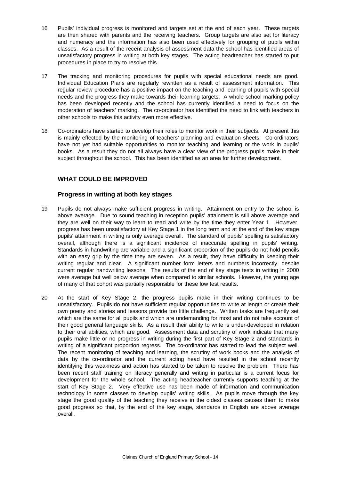- 16. Pupils' individual progress is monitored and targets set at the end of each year. These targets are then shared with parents and the receiving teachers. Group targets are also set for literacy and numeracy and the information has also been used effectively for grouping of pupils within classes. As a result of the recent analysis of assessment data the school has identified areas of unsatisfactory progress in writing at both key stages. The acting headteacher has started to put procedures in place to try to resolve this.
- 17. The tracking and monitoring procedures for pupils with special educational needs are good. Individual Education Plans are regularly rewritten as a result of assessment information. This regular review procedure has a positive impact on the teaching and learning of pupils with special needs and the progress they make towards their learning targets. A whole-school marking policy has been developed recently and the school has currently identified a need to focus on the moderation of teachers' marking. The co-ordinator has identified the need to link with teachers in other schools to make this activity even more effective.
- 18. Co-ordinators have started to develop their roles to monitor work in their subjects. At present this is mainly effected by the monitoring of teachers' planning and evaluation sheets. Co-ordinators have not yet had suitable opportunities to monitor teaching and learning or the work in pupils' books. As a result they do not all always have a clear view of the progress pupils make in their subject throughout the school. This has been identified as an area for further development.

## **WHAT COULD BE IMPROVED**

#### **Progress in writing at both key stages**

- 19. Pupils do not always make sufficient progress in writing. Attainment on entry to the school is above average. Due to sound teaching in reception pupils' attainment is still above average and they are well on their way to learn to read and write by the time they enter Year 1. However, progress has been unsatisfactory at Key Stage 1 in the long term and at the end of the key stage pupils' attainment in writing is only average overall. The standard of pupils' spelling is satisfactory overall, although there is a significant incidence of inaccurate spelling in pupils' writing. Standards in handwriting are variable and a significant proportion of the pupils do not hold pencils with an easy grip by the time they are seven. As a result, they have difficulty in keeping their writing regular and clear. A significant number form letters and numbers incorrectly, despite current regular handwriting lessons. The results of the end of key stage tests in writing in 2000 were average but well below average when compared to similar schools. However, the young age of many of that cohort was partially responsible for these low test results.
- 20. At the start of Key Stage 2, the progress pupils make in their writing continues to be unsatisfactory. Pupils do not have sufficient regular opportunities to write at length or create their own poetry and stories and lessons provide too little challenge. Written tasks are frequently set which are the same for all pupils and which are undemanding for most and do not take account of their good general language skills. As a result their ability to write is under-developed in relation to their oral abilities, which are good. Assessment data and scrutiny of work indicate that many pupils make little or no progress in writing during the first part of Key Stage 2 and standards in writing of a significant proportion regress. The co-ordinator has started to lead the subject well. The recent monitoring of teaching and learning, the scrutiny of work books and the analysis of data by the co-ordinator and the current acting head have resulted in the school recently identifying this weakness and action has started to be taken to resolve the problem. There has been recent staff training on literacy generally and writing in particular is a current focus for development for the whole school. The acting headteacher currently supports teaching at the start of Key Stage 2. Very effective use has been made of information and communication technology in some classes to develop pupils' writing skills. As pupils move through the key stage the good quality of the teaching they receive in the oldest classes causes them to make good progress so that, by the end of the key stage, standards in English are above average overall.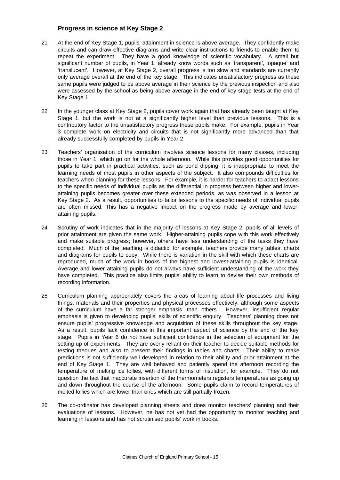#### **Progress in science at Key Stage 2**

- 21. At the end of Key Stage 1, pupils' attainment in science is above average. They confidently make circuits and can draw effective diagrams and write clear instructions to friends to enable them to repeat the experiment. They have a good knowledge of scientific vocabulary. A small but significant number of pupils, in Year 1, already know words such as 'transparent', 'opaque' and 'translucent'. However, at Key Stage 2, overall progress is too slow and standards are currently only average overall at the end of the key stage. This indicates unsatisfactory progress as these same pupils were judged to be above average in their science by the previous inspection and also were assessed by the school as being above average in the end of key stage tests at the end of Key Stage 1.
- 22. In the younger class at Key Stage 2, pupils cover work again that has already been taught at Key Stage 1, but the work is not at a significantly higher level than previous lessons. This is a contributory factor to the unsatisfactory progress these pupils make. For example, pupils in Year 3 complete work on electricity and circuits that is not significantly more advanced than that already successfully completed by pupils in Year 2.
- 23. Teachers' organisation of the curriculum involves science lessons for many classes, including those in Year 1, which go on for the whole afternoon. While this provides good opportunities for pupils to take part in practical activities, such as pond dipping, it is inappropriate to meet the learning needs of most pupils in other aspects of the subject. It also compounds difficulties for teachers when planning for these lessons. For example, it is harder for teachers to adapt lessons to the specific needs of individual pupils as the differential in progress between higher and lowerattaining pupils becomes greater over these extended periods, as was observed in a lesson at Key Stage 2. As a result, opportunities to tailor lessons to the specific needs of individual pupils are often missed. This has a negative impact on the progress made by average and lowerattaining pupils.
- 24. Scrutiny of work indicates that in the majority of lessons at Key Stage 2, pupils of all levels of prior attainment are given the same work. Higher-attaining pupils cope with this work effectively and make suitable progress; however, others have less understanding of the tasks they have completed. Much of the teaching is didactic; for example, teachers provide many tables, charts and diagrams for pupils to copy. While there is variation in the skill with which these charts are reproduced, much of the work in books of the highest and lowest-attaining pupils is identical. Average and lower attaining pupils do not always have sufficient understanding of the work they have completed. This practice also limits pupils' ability to learn to devise their own methods of recording information.
- 25. Curriculum planning appropriately covers the areas of learning about life processes and living things, materials and their properties and physical processes effectively, although some aspects of the curriculum have a far stronger emphasis than others. However, insufficient regular emphasis is given to developing pupils' skills of scientific enquiry. Teachers' planning does not ensure pupils' progressive knowledge and acquisition of these skills throughout the key stage. As a result, pupils lack confidence in this important aspect of science by the end of the key stage. Pupils in Year 6 do not have sufficient confidence in the selection of equipment for the setting up of experiments. They are overly reliant on their teacher to decide suitable methods for testing theories and also to present their findings in tables and charts. Their ability to make predictions is not sufficiently well developed in relation to their ability and prior attainment at the end of Key Stage 1. They are well behaved and patiently spend the afternoon recording the temperature of melting ice lollies, with different forms of insulation, for example. They do not question the fact that inaccurate insertion of the thermometers registers temperatures as going up and down throughout the course of the afternoon. Some pupils claim to record temperatures of melted lollies which are lower than ones which are still partially frozen.
- 26. The co-ordinator has developed planning sheets and does monitor teachers' planning and their evaluations of lessons. However, he has not yet had the opportunity to monitor teaching and learning in lessons and has not scrutinised pupils' work in books.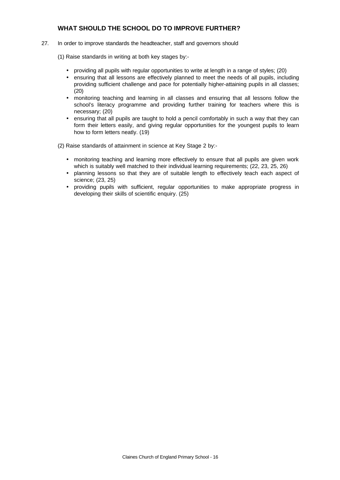#### **WHAT SHOULD THE SCHOOL DO TO IMPROVE FURTHER?**

- 27. In order to improve standards the headteacher, staff and governors should
	- (1) Raise standards in writing at both key stages by:-
		- providing all pupils with regular opportunities to write at length in a range of styles; (20)
		- ensuring that all lessons are effectively planned to meet the needs of all pupils, including providing sufficient challenge and pace for potentially higher-attaining pupils in all classes; (20)
		- monitoring teaching and learning in all classes and ensuring that all lessons follow the school's literacy programme and providing further training for teachers where this is necessary; (20)
		- ensuring that all pupils are taught to hold a pencil comfortably in such a way that they can form their letters easily, and giving regular opportunities for the youngest pupils to learn how to form letters neatly. (19)

(2) Raise standards of attainment in science at Key Stage 2 by:-

- monitoring teaching and learning more effectively to ensure that all pupils are given work which is suitably well matched to their individual learning requirements; (22, 23, 25, 26)
- planning lessons so that they are of suitable length to effectively teach each aspect of science; (23, 25)
- providing pupils with sufficient, regular opportunities to make appropriate progress in developing their skills of scientific enquiry. (25)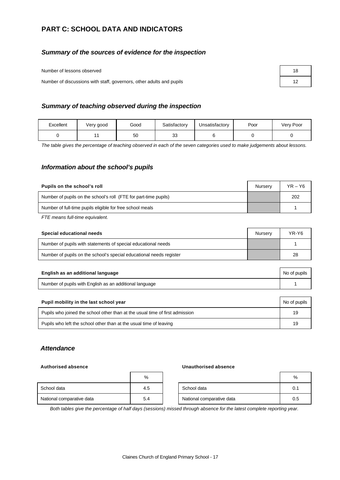# **PART C: SCHOOL DATA AND INDICATORS**

#### *Summary of the sources of evidence for the inspection*

Number of lessons observed

Number of discussions with staff, governors, other adults and pupils

| 18 |  |
|----|--|
| 12 |  |

#### *Summary of teaching observed during the inspection*

| Excellent | Very good | Good | Satisfactory | Unsatisfactory | Poor | Very Poor |
|-----------|-----------|------|--------------|----------------|------|-----------|
|           |           | 50   | ົ<br>ںں      |                |      |           |

*The table gives the percentage of teaching observed in each of the seven categories used to make judgements about lessons.*

#### *Information about the school's pupils*

| Pupils on the school's roll                                      | Nurserv | $YR - Y6$ |
|------------------------------------------------------------------|---------|-----------|
| Number of pupils on the school's roll (FTE for part-time pupils) |         | 202       |
| Number of full-time pupils eligible for free school meals        |         |           |

*FTE means full-time equivalent.*

| Special educational needs                                           | Nurserv | YR-Y6 |
|---------------------------------------------------------------------|---------|-------|
| Number of pupils with statements of special educational needs       |         |       |
| Number of pupils on the school's special educational needs register |         | 28    |

| English as an additional language                       | No of pupils |
|---------------------------------------------------------|--------------|
| Number of pupils with English as an additional language |              |

| Pupil mobility in the last school year                                       |    |  |  |
|------------------------------------------------------------------------------|----|--|--|
| Pupils who joined the school other than at the usual time of first admission | 19 |  |  |
| Pupils who left the school other than at the usual time of leaving           | 19 |  |  |

## *Attendance*

#### **Authorised absence Unauthorised absence**

|                           | %   |                           | %   |
|---------------------------|-----|---------------------------|-----|
| School data               | 4.5 | School data               | 0.1 |
| National comparative data | 5.4 | National comparative data | 0.5 |

*Both tables give the percentage of half days (sessions) missed through absence for the latest complete reporting year.*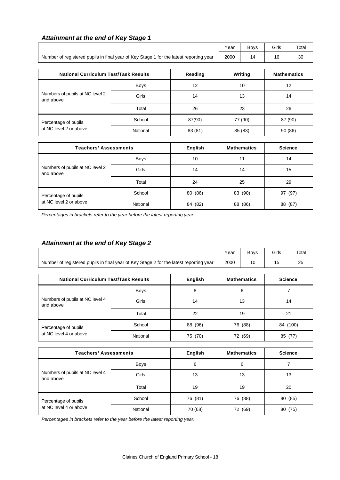|                                                                                        | Year        | <b>Boys</b> | Girls              | Total   |         |    |
|----------------------------------------------------------------------------------------|-------------|-------------|--------------------|---------|---------|----|
| Number of registered pupils in final year of Key Stage 1 for the latest reporting year | 2000        | 14          | 16                 | 30      |         |    |
| <b>National Curriculum Test/Task Results</b>                                           |             | Writing     | <b>Mathematics</b> |         |         |    |
| Reading                                                                                |             |             |                    |         |         |    |
|                                                                                        | <b>Boys</b> | 12          | 10                 |         | 12      |    |
| Numbers of pupils at NC level 2<br>and above                                           | Girls       | 14          |                    | 13      |         | 14 |
|                                                                                        | Total       | 26          |                    | 23      | 26      |    |
| Percentage of pupils                                                                   | School      | 87(90)      |                    | 77 (90) | 87 (90) |    |
| at NC level 2 or above                                                                 | National    | 83 (81)     |                    | 85 (83) | 90(86)  |    |

| <b>Teachers' Assessments</b>                 |          | <b>English</b> | <b>Mathematics</b> | <b>Science</b> |
|----------------------------------------------|----------|----------------|--------------------|----------------|
|                                              | Boys     | 10             | 11                 | 14             |
| Numbers of pupils at NC level 2<br>and above | Girls    | 14             | 14                 | 15             |
|                                              | Total    | 24             | 25                 | 29             |
| Percentage of pupils                         | School   | 80 (86)        | 83 (90)            | 97 (97)        |
| at NC level 2 or above                       | National | 84 (82)        | (86)<br>88         | (87)<br>88     |

*Percentages in brackets refer to the year before the latest reporting year.*

# *Attainment at the end of Key Stage 2*

*Attainment at the end of Key Stage 1*

|                                                                                        | Year | Bovs | Girls | $\tau$ otal |
|----------------------------------------------------------------------------------------|------|------|-------|-------------|
| Number of registered pupils in final year of Key Stage 2 for the latest reporting year | 2000 |      |       | د∠          |

| <b>National Curriculum Test/Task Results</b> |             | English    | <b>Mathematics</b> | <b>Science</b> |
|----------------------------------------------|-------------|------------|--------------------|----------------|
|                                              | <b>Boys</b> | 8          | 6                  |                |
| Numbers of pupils at NC level 4<br>and above | Girls       | 14         | 13                 | 14             |
|                                              | Total       | 22         | 19                 | 21             |
| Percentage of pupils                         | School      | (96)<br>88 | 76 (88)            | 84 (100)       |
| at NC level 4 or above                       | National    | (70)<br>75 | (69)<br>72         | 85<br>77       |

| <b>Teachers' Assessments</b>                 |          | English | <b>Mathematics</b> | <b>Science</b> |
|----------------------------------------------|----------|---------|--------------------|----------------|
|                                              | Boys     | 6       | 6                  |                |
| Numbers of pupils at NC level 4<br>and above | Girls    | 13      | 13                 | 13             |
|                                              | Total    | 19      | 19                 | 20             |
| Percentage of pupils                         | School   | 76 (81) | 76 (88)            | 80 (85)        |
| at NC level 4 or above                       | National | 70 (68) | 72 (69)            | 80 (75)        |

*Percentages in brackets refer to the year before the latest reporting year.*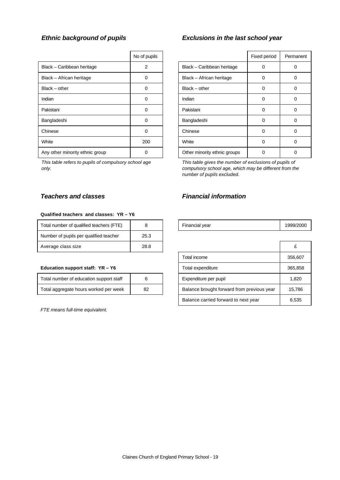|                                 | No of pupils |                              | Fixed period | Perma    |
|---------------------------------|--------------|------------------------------|--------------|----------|
| Black - Caribbean heritage      | 2            | Black - Caribbean heritage   | 0            | 0        |
| Black - African heritage        | 0            | Black - African heritage     | 0            | 0        |
| $Black - other$                 | 0            | Black - other                | 0            | 0        |
| Indian                          | 0            | Indian                       | 0            | 0        |
| Pakistani                       | $\Omega$     | Pakistani                    | 0            | $\Omega$ |
| Bangladeshi                     | $\Omega$     | Bangladeshi                  | 0            | 0        |
| Chinese                         | $\Omega$     | Chinese                      | 0            | 0        |
| White                           | 200          | White                        | 0            | 0        |
| Any other minority ethnic group |              | Other minority ethnic groups |              |          |

*This table refers to pupils of compulsory school age only.*

#### **Qualified teachers and classes: YR – Y6**

| Total number of qualified teachers (FTE) |      | Financial year | 1999/ |
|------------------------------------------|------|----------------|-------|
| Number of pupils per qualified teacher   | 25.3 |                |       |
| Average class size                       | 28.8 |                |       |

#### **Education support staff: YR - Y6**

| Total number of education support staff |    |
|-----------------------------------------|----|
| Total aggregate hours worked per week   | 82 |

*FTE means full-time equivalent.*

## *Ethnic background of pupils Exclusions in the last school year*

| No of pupils |                              | Fixed period | Permanent |
|--------------|------------------------------|--------------|-----------|
| 2            | Black - Caribbean heritage   |              |           |
|              | Black - African heritage     | Ω            |           |
| n            | $Black - other$              | 0            |           |
| ი            | Indian                       | U            |           |
| ი            | Pakistani                    | 0            |           |
| 0            | Bangladeshi                  | 0            |           |
|              | Chinese                      | U            |           |
| 200          | White                        | O            |           |
|              | Other minority ethnic groups |              |           |

*This table gives the number of exclusions of pupils of compulsory school age, which may be different from the number of pupils excluded.*

## *Teachers and classes Financial information*

| 1.00<br>-----<br>Total number<br>t qualified teachers<br>οt<br>ΙF. |  | inancial vear | 1999 |
|--------------------------------------------------------------------|--|---------------|------|
|                                                                    |  |               |      |

| Average class size                      | 28.8 |  |                                            |         |
|-----------------------------------------|------|--|--------------------------------------------|---------|
|                                         |      |  | Total income                               | 356,607 |
| Education support staff: YR - Y6        |      |  | Total expenditure                          | 365,858 |
| Total number of education support staff | 6    |  | Expenditure per pupil                      | 1,820   |
| Total aggregate hours worked per week   | 82   |  | Balance brought forward from previous year | 15,786  |
|                                         |      |  | Balance carried forward to next year       | 6,535   |